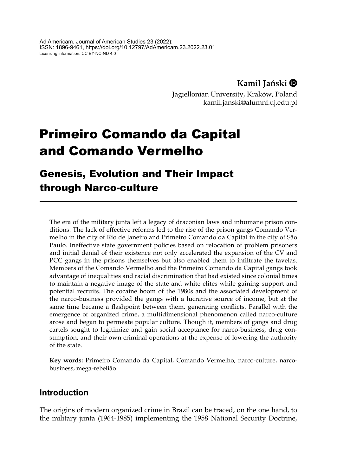**Kamil Jański**

Jagiellonian University, Kraków, Poland kamil.janski@alumni.uj.edu.pl

# Primeiro Comando da Capital and Comando Vermelho

# Genesis, Evolution and Their Impact through Narco-culture

The era of the military junta left a legacy of draconian laws and inhumane prison conditions. The lack of effective reforms led to the rise of the prison gangs Comando Vermelho in the city of Rio de Janeiro and Primeiro Comando da Capital in the city of São Paulo. Ineffective state government policies based on relocation of problem prisoners and initial denial of their existence not only accelerated the expansion of the CV and PCC gangs in the prisons themselves but also enabled them to infiltrate the favelas. Members of the Comando Vermelho and the Primeiro Comando da Capital gangs took advantage of inequalities and racial discrimination that had existed since colonial times to maintain a negative image of the state and white elites while gaining support and potential recruits. The cocaine boom of the 1980s and the associated development of the narco-business provided the gangs with a lucrative source of income, but at the same time became a flashpoint between them, generating conflicts. Parallel with the emergence of organized crime, a multidimensional phenomenon called narco-culture arose and began to permeate popular culture. Though it, members of gangs and drug cartels sought to legitimize and gain social acceptance for narco-business, drug consumption, and their own criminal operations at the expense of lowering the authority of the state.

**Key words:** Primeiro Comando da Capital, Comando Vermelho, narco-culture, narcobusiness, mega-rebelião

# **Introduction**

The origins of modern organized crime in Brazil can be traced, on the one hand, to the military junta (1964-1985) implementing the 1958 National Security Doctrine,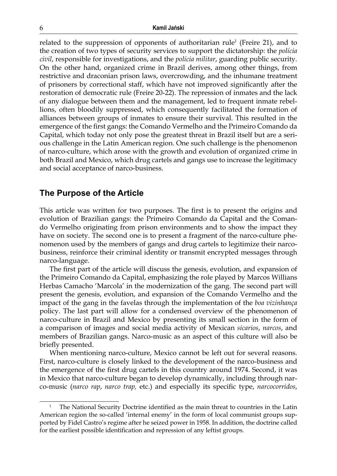related to the suppression of opponents of authoritarian rule<sup>1</sup> (Freire 21), and to the creation of two types of security services to support the dictatorship: the *polícia civil*, responsible for investigations, and the *polícia militar*, guarding public security. On the other hand, organized crime in Brazil derives, among other things, from restrictive and draconian prison laws, overcrowding, and the inhumane treatment of prisoners by correctional staff, which have not improved significantly after the restoration of democratic rule (Freire 20-22). The repression of inmates and the lack of any dialogue between them and the management, led to frequent inmate rebellions, often bloodily suppressed, which consequently facilitated the formation of alliances between groups of inmates to ensure their survival. This resulted in the emergence of the first gangs: the Comando Vermelho and the Primeiro Comando da Capital, which today not only pose the greatest threat in Brazil itself but are a serious challenge in the Latin American region. One such challenge is the phenomenon of narco-culture, which arose with the growth and evolution of organized crime in both Brazil and Mexico, which drug cartels and gangs use to increase the legitimacy and social acceptance of narco-business.

#### **The Purpose of the Article**

This article was written for two purposes. The first is to present the origins and evolution of Brazilian gangs: the Primeiro Comando da Capital and the Comando Vermelho originating from prison environments and to show the impact they have on society. The second one is to present a fragment of the narco-culture phenomenon used by the members of gangs and drug cartels to legitimize their narcobusiness, reinforce their criminal identity or transmit encrypted messages through narco-language.

The first part of the article will discuss the genesis, evolution, and expansion of the Primeiro Comando da Capital, emphasizing the role played by Marcos Willians Herbas Camacho 'Marcola' in the modernization of the gang. The second part will present the genesis, evolution, and expansion of the Comando Vermelho and the impact of the gang in the favelas through the implementation of the *boa vizinhança* policy. The last part will allow for a condensed overview of the phenomenon of narco-culture in Brazil and Mexico by presenting its small section in the form of a comparison of images and social media activity of Mexican *sicarios*, *narcos*, and members of Brazilian gangs. Narco-music as an aspect of this culture will also be briefly presented.

When mentioning narco-culture, Mexico cannot be left out for several reasons. First, narco-culture is closely linked to the development of the narco-business and the emergence of the first drug cartels in this country around 1974. Second, it was in Mexico that narco-culture began to develop dynamically, including through narco-music (*narco rap*, *narco trap,* etc.) and especially its specific type, *narcocorridos*,

<sup>1</sup> The National Security Doctrine identified as the main threat to countries in the Latin American region the so-called 'internal enemy' in the form of local communist groups supported by Fidel Castro's regime after he seized power in 1958. In addition, the doctrine called for the earliest possible identification and repression of any leftist groups.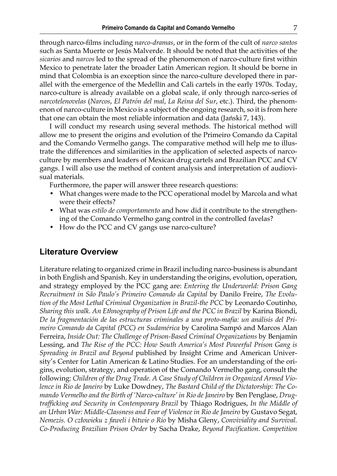through narco-films including *narco-dramas*, or in the form of the cult of *narco santos* such as Santa Muerte or Jesús Malverde. It should be noted that the activities of the *sicarios* and *narcos* led to the spread of the phenomenon of narco-culture first within Mexico to penetrate later the broader Latin American region. It should be borne in mind that Colombia is an exception since the narco-culture developed there in parallel with the emergence of the Medellín and Cali cartels in the early 1970s. Today, narco-culture is already available on a global scale, if only through narco-series of *narcotelenovelas* (*Narcos*, *El Patrón del mal*, *La Reina del Sur*, etc.). Third, the phenomenon of narco-culture in Mexico is a subject of the ongoing research, so it is from here that one can obtain the most reliable information and data (Jański 7, 143).

I will conduct my research using several methods. The historical method will allow me to present the origins and evolution of the Primeiro Comando da Capital and the Comando Vermelho gangs. The comparative method will help me to illustrate the differences and similarities in the application of selected aspects of narcoculture by members and leaders of Mexican drug cartels and Brazilian PCC and CV gangs. I will also use the method of content analysis and interpretation of audiovisual materials.

Furthermore, the paper will answer three research questions:

- What changes were made to the PCC operational model by Marcola and what were their effects?
- What was *estilo de comportamento* and how did it contribute to the strengthening of the Comando Vermelho gang control in the controlled favelas?
- How do the PCC and CV gangs use narco-culture?

#### **Literature Overview**

Literature relating to organized crime in Brazil including narco-business is abundant in both English and Spanish. Key in understanding the origins, evolution, operation, and strategy employed by the PCC gang are: *Entering the Underworld: Prison Gang Recruitment in São Paulo's Primeiro Comando da Capital* by Danilo Freire, *The Evolution of the Most Lethal Criminal Organization in Brazil-the PCC* by Leonardo Coutinho, *Sharing this walk. An Ethnography of Prison Life and the PCC in Brazil* by Karina Biondi, *De la fragmentación de las estructuras criminales a una proto-mafia: un análisis del Primeiro Comando da Capital (PCC) en Sudamérica* by Carolina Sampó and Marcos Alan Ferreira, *Inside Out: The Challenge of Prison-Based Criminal Organizations* by Benjamin Lessing, and *The Rise of the PCC: How South America's Most Powerful Prison Gang is Spreading in Brazil and Beyond* published by Insight Crime and American University's Center for Latin American & Latino Studies. For an understanding of the origins, evolution, strategy, and operation of the Comando Vermelho gang, consult the following: *Children of the Drug Trade. A Case Study of Children in Organized Armed Violence in Rio de Janeiro* by Luke Dowdney, *The Bastard Child of the Dictatorship: The Comando Vermelho and the Birth of 'Narco-culture' in Rio de Janeiro* by Ben Penglase, *Drugtrafficking and Security in Contemporary Brazil* by Thiago Rodrigues, *In the Middle of an Urban War: Middle-Classness and Fear of Violence in Rio de Janeiro* by Gustavo Segat, *Nemezis. O człowieku z faweli i bitwie o Rio* by Misha Gleny, *Conviviality and Survival. Co-Producing Brazilian Prison Order* by Sacha Drake, *Beyond Pacification. Competition*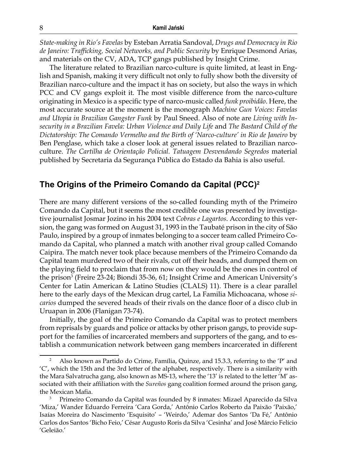*State-making in Rio's Favelas* by Esteban Arratia Sandoval, *Drugs and Democracy in Rio de Janeiro: Trafficking, Social Networks, and Public Security* by Enrique Desmond Arias, and materials on the CV, ADA, TCP gangs published by Insight Crime.

The literature related to Brazilian narco-culture is quite limited, at least in English and Spanish, making it very difficult not only to fully show both the diversity of Brazilian narco-culture and the impact it has on society, but also the ways in which PCC and CV gangs exploit it. The most visible difference from the narco-culture originating in Mexico is a specific type of narco-music called *funk proibidão*. Here, the most accurate source at the moment is the monograph *Machine Gun Voices: Favelas and Utopia in Brazilian Gangster Funk* by Paul Sneed. Also of note are *Living with Insecurity in a Brazilian Favela: Urban Violence and Daily Life* and *The Bastard Child of the Dictatorship: The Comando Vermelho and the Birth of 'Narco-culture' in Rio de Janeiro* by Ben Penglase, which take a closer look at general issues related to Brazilian narcoculture. *The Cartilha de Orientação Policial. Tatuagem Desvendando Segredos* material published by Secretaria da Segurança Pública do Estado da Bahia is also useful.

# **The Origins of the Primeiro Comando da Capital (PCC)2**

There are many different versions of the so-called founding myth of the Primeiro Comando da Capital, but it seems the most credible one was presented by investigative journalist Josmar Jozino in his 2004 text *Cobras e Lagartos*. According to this version, the gang was formed on August 31, 1993 in the Taubaté prison in the city of São Paulo, inspired by a group of inmates belonging to a soccer team called Primeiro Comando da Capital, who planned a match with another rival group called Comando Caipira. The match never took place because members of the Primeiro Comando da Capital team murdered two of their rivals, cut off their heads, and dumped them on the playing field to proclaim that from now on they would be the ones in control of the prison<sup>3</sup> (Freire 23-24; Biondi 35-36, 61; Insight Crime and American University's Center for Latin American & Latino Studies (CLALS) 11). There is a clear parallel here to the early days of the Mexican drug cartel, La Familia Michoacana, whose *sicarios* dumped the severed heads of their rivals on the dance floor of a disco club in Uruapan in 2006 (Flanigan 73-74).

Initially, the goal of the Primeiro Comando da Capital was to protect members from reprisals by guards and police or attacks by other prison gangs, to provide support for the families of incarcerated members and supporters of the gang, and to establish a communication network between gang members incarcerated in different

<sup>&</sup>lt;sup>2</sup> Also known as Partido do Crime, Família, Quinze, and 15.3.3, referring to the 'P' and 'C', which the 15th and the 3rd letter of the alphabet, respectively. There is a similarity with the Mara Salvatrucha gang, also known as MS-13, where the '13' is related to the letter 'M' associated with their affiliation with the *Sureños* gang coalition formed around the prison gang, the Mexican Mafia.

<sup>3</sup> Primeiro Comando da Capital was founded by 8 inmates: Mizael Aparecido da Silva 'Miza,' Wander Eduardo Ferreira 'Cara Gorda,' Antônio Carlos Roberto da Paixão 'Paixão,' Isaías Moreira do Nascimento 'Esquisito' – 'Weirdo,' Ademar dos Santos 'Da Fé,' Antônio Carlos dos Santos 'Bicho Feio,' César Augusto Roris da Silva 'Cesinha' and José Márcio Felício 'Geleião.'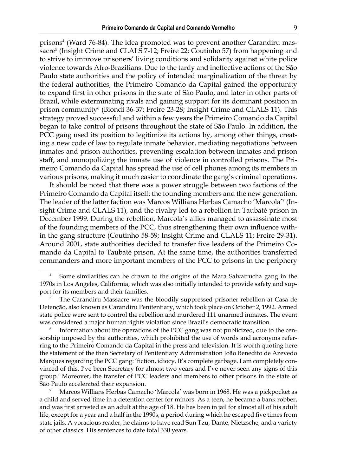prisons<sup>4</sup> (Ward 76-84). The idea promoted was to prevent another Carandiru massacre<sup>5</sup> (Insight Crime and CLALS 7-12; Freire 22; Coutinho 57) from happening and to strive to improve prisoners' living conditions and solidarity against white police violence towards Afro-Brazilians. Due to the tardy and ineffective actions of the São Paulo state authorities and the policy of intended marginalization of the threat by the federal authorities, the Primeiro Comando da Capital gained the opportunity to expand first in other prisons in the state of São Paulo, and later in other parts of Brazil, while exterminating rivals and gaining support for its dominant position in prison community<sup>6</sup> (Biondi 36-37; Freire 23-28; Insight Crime and CLALS 11). This strategy proved successful and within a few years the Primeiro Comando da Capital began to take control of prisons throughout the state of São Paulo. In addition, the PCC gang used its position to legitimize its actions by, among other things, creating a new code of law to regulate inmate behavior, mediating negotiations between inmates and prison authorities, preventing escalation between inmates and prison staff, and monopolizing the inmate use of violence in controlled prisons. The Primeiro Comando da Capital has spread the use of cell phones among its members in various prisons, making it much easier to coordinate the gang's criminal operations.

It should be noted that there was a power struggle between two factions of the Primeiro Comando da Capital itself: the founding members and the new generation. The leader of the latter faction was Marcos Willians Herbas Camacho 'Marcola'<sup>7</sup> (Insight Crime and CLALS 11), and the rivalry led to a rebellion in Taubaté prison in December 1999. During the rebellion, Marcola's allies managed to assassinate most of the founding members of the PCC, thus strengthening their own influence within the gang structure (Coutinho 58-59; Insight Crime and CLALS 11; Freire 29-31). Around 2001, state authorities decided to transfer five leaders of the Primeiro Comando da Capital to Taubaté prison. At the same time, the authorities transferred commanders and more important members of the PCC to prisons in the periphery

<sup>4</sup> Some similarities can be drawn to the origins of the Mara Salvatrucha gang in the 1970s in Los Angeles, California, which was also initially intended to provide safety and support for its members and their families.

<sup>&</sup>lt;sup>5</sup> The Carandiru Massacre was the bloodily suppressed prisoner rebellion at Casa de Detenção, also known as Carandiru Penitentiary, which took place on October 2, 1992. Armed state police were sent to control the rebellion and murdered 111 unarmed inmates. The event was considered a major human rights violation since Brazil's democratic transition.

Information about the operations of the PCC gang was not publicized, due to the censorship imposed by the authorities, which prohibited the use of words and acronyms referring to the Primeiro Comando da Capital in the press and television. It is worth quoting here the statement of the then Secretary of Penitentiary Administration João Benedito de Azevedo Marques regarding the PCC gang: 'fiction, idiocy. It's complete garbage. I am completely convinced of this. I've been Secretary for almost two years and I've never seen any signs of this group.' Moreover, the transfer of PCC leaders and members to other prisons in the state of São Paulo accelerated their expansion.

<sup>7</sup> Marcos Willians Herbas Camacho 'Marcola' was born in 1968. He was a pickpocket as a child and served time in a detention center for minors. As a teen, he became a bank robber, and was first arrested as an adult at the age of 18. He has been in jail for almost all of his adult life, except for a year and a half in the 1990s, a period during which he escaped five times from state jails. A voracious reader, he claims to have read Sun Tzu, Dante, Nietzsche, and a variety of other classics. His sentences to date total 330 years.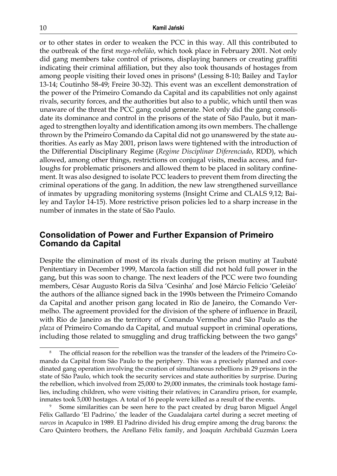or to other states in order to weaken the PCC in this way. All this contributed to the outbreak of the first *mega-rebelião*, which took place in February 2001. Not only did gang members take control of prisons, displaying banners or creating graffiti indicating their criminal affiliation, but they also took thousands of hostages from among people visiting their loved ones in prisons<sup>8</sup> (Lessing 8-10; Bailey and Taylor 13-14; Coutinho 58-49; Freire 30-32). This event was an excellent demonstration of the power of the Primeiro Comando da Capital and its capabilities not only against rivals, security forces, and the authorities but also to a public, which until then was unaware of the threat the PCC gang could generate. Not only did the gang consolidate its dominance and control in the prisons of the state of São Paulo, but it managed to strengthen loyalty and identification among its own members. The challenge thrown by the Primeiro Comando da Capital did not go unanswered by the state authorities. As early as May 2001, prison laws were tightened with the introduction of the Differential Disciplinary Regime (*Regime Disciplinar Diferenciado*, RDD), which allowed, among other things, restrictions on conjugal visits, media access, and furloughs for problematic prisoners and allowed them to be placed in solitary confinement. It was also designed to isolate PCC leaders to prevent them from directing the criminal operations of the gang. In addition, the new law strengthened surveillance of inmates by upgrading monitoring systems (Insight Crime and CLALS 9,12; Bailey and Taylor 14-15). More restrictive prison policies led to a sharp increase in the number of inmates in the state of São Paulo.

## **Consolidation of Power and Further Expansion of Primeiro Comando da Capital**

Despite the elimination of most of its rivals during the prison mutiny at Taubaté Penitentiary in December 1999, Marcola faction still did not hold full power in the gang, but this was soon to change. The next leaders of the PCC were two founding members, César Augusto Roris da Silva 'Cesinha' and José Márcio Felício 'Geleião' the authors of the alliance signed back in the 1990s between the Primeiro Comando da Capital and another prison gang located in Rio de Janeiro, the Comando Vermelho. The agreement provided for the division of the sphere of influence in Brazil, with Rio de Janeiro as the territory of Comando Vermelho and São Paulo as the *plaza* of Primeiro Comando da Capital, and mutual support in criminal operations, including those related to smuggling and drug trafficking between the two gangs<sup>9</sup>

<sup>8</sup> The official reason for the rebellion was the transfer of the leaders of the Primeiro Comando da Capital from São Paulo to the periphery. This was a precisely planned and coordinated gang operation involving the creation of simultaneous rebellions in 29 prisons in the state of São Paulo, which took the security services and state authorities by surprise. During the rebellion, which involved from 25,000 to 29,000 inmates, the criminals took hostage families, including children, who were visiting their relatives; in Carandiru prison, for example, inmates took 5,000 hostages. A total of 16 people were killed as a result of the events.

<sup>9</sup> Some similarities can be seen here to the pact created by drug baron Miguel Ángel Félix Gallardo 'El Padrino,' the leader of the Guadalajara cartel during a secret meeting of *narcos* in Acapulco in 1989. El Padrino divided his drug empire among the drug barons: the Caro Quintero brothers, the Arellano Félix family, and Joaquín Archibald Guzmán Loera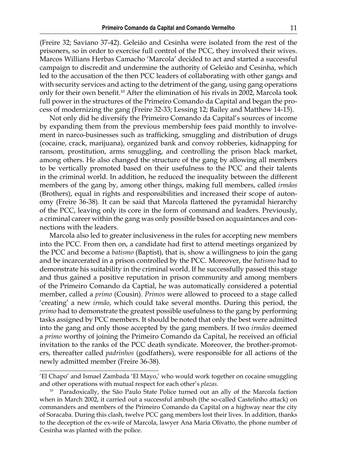(Freire 32; Saviano 37-42). Geleião and Cesinha were isolated from the rest of the prisoners, so in order to exercise full control of the PCC, they involved their wives. Marcos Willians Herbas Camacho 'Marcola' decided to act and started a successful campaign to discredit and undermine the authority of Geleião and Cesinha, which led to the accusation of the then PCC leaders of collaborating with other gangs and with security services and acting to the detriment of the gang, using gang operations only for their own benefit.<sup>10</sup> After the elimination of his rivals in 2002, Marcola took full power in the structures of the Primeiro Comando da Capital and began the process of modernizing the gang (Freire 32-33; Lessing 12; Bailey and Matthew 14-15).

Not only did he diversify the Primeiro Comando da Capital's sources of income by expanding them from the previous membership fees paid monthly to involvement in narco-businesses such as trafficking, smuggling and distribution of drugs (cocaine, crack, marijuana), organized bank and convoy robberies, kidnapping for ransom, prostitution, arms smuggling, and controlling the prison black market, among others. He also changed the structure of the gang by allowing all members to be vertically promoted based on their usefulness to the PCC and their talents in the criminal world. In addition, he reduced the inequality between the different members of the gang by, among other things, making full members, called *irmãos* (Brothers), equal in rights and responsibilities and increased their scope of autonomy (Freire 36-38). It can be said that Marcola flattened the pyramidal hierarchy of the PCC, leaving only its core in the form of command and leaders. Previously, a criminal career within the gang was only possible based on acquaintances and connections with the leaders.

Marcola also led to greater inclusiveness in the rules for accepting new members into the PCC. From then on, a candidate had first to attend meetings organized by the PCC and become a *batismo* (Baptist), that is, show a willingness to join the gang and be incarcerated in a prison controlled by the PCC. Moreover, the *batismo* had to demonstrate his suitability in the criminal world. If he successfully passed this stage and thus gained a positive reputation in prison community and among members of the Primeiro Comando da Captial, he was automatically considered a potential member, called a *primo* (Cousin). *Primos* were allowed to proceed to a stage called 'creating' a new *irmão*, which could take several months. During this period, the *primo* had to demonstrate the greatest possible usefulness to the gang by performing tasks assigned by PCC members. It should be noted that only the best were admitted into the gang and only those accepted by the gang members. If two *irmãos* deemed a *primo* worthy of joining the Primeiro Comando da Capital, he received an official invitation to the ranks of the PCC death syndicate. Moreover, the brother-promoters, thereafter called *padrinhos* (godfathers), were responsible for all actions of the newly admitted member (Freire 36-38).

<sup>&#</sup>x27;El Chapo' and Ismael Zambada 'El Mayo,' who would work together on cocaine smuggling and other operations with mutual respect for each other's *plazas*.

<sup>&</sup>lt;sup>10</sup> Paradoxically, the São Paulo State Police turned out an ally of the Marcola faction when in March 2002, it carried out a successful ambush (the so-called Castelinho attack) on commanders and members of the Primeiro Comando da Capital on a highway near the city of Soracaba. During this clash, twelve PCC gang members lost their lives. In addition, thanks to the deception of the ex-wife of Marcola, lawyer Ana Maria Olivatto, the phone number of Cesinha was planted with the police.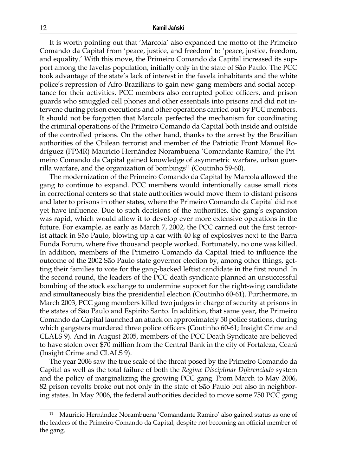It is worth pointing out that 'Marcola' also expanded the motto of the Primeiro Comando da Capital from 'peace, justice, and freedom' to 'peace, justice, freedom, and equality.' With this move, the Primeiro Comando da Capital increased its support among the favelas population, initially only in the state of São Paulo. The PCC took advantage of the state's lack of interest in the favela inhabitants and the white police's repression of Afro-Brazilians to gain new gang members and social acceptance for their activities. PCC members also corrupted police officers, and prison guards who smuggled cell phones and other essentials into prisons and did not intervene during prison executions and other operations carried out by PCC members. It should not be forgotten that Marcola perfected the mechanism for coordinating the criminal operations of the Primeiro Comando da Capital both inside and outside of the controlled prisons. On the other hand, thanks to the arrest by the Brazilian authorities of the Chilean terrorist and member of the Patriotic Front Manuel Rodríguez (FPMR) Mauricio Hernández Norambuena 'Comandante Ramiro,' the Primeiro Comando da Capital gained knowledge of asymmetric warfare, urban guerrilla warfare, and the organization of bombings $11$  (Coutinho 59-60).

The modernization of the Primeiro Comando da Capital by Marcola allowed the gang to continue to expand. PCC members would intentionally cause small riots in correctional centers so that state authorities would move them to distant prisons and later to prisons in other states, where the Primeiro Comando da Capital did not yet have influence. Due to such decisions of the authorities, the gang's expansion was rapid, which would allow it to develop ever more extensive operations in the future. For example, as early as March 7, 2002, the PCC carried out the first terrorist attack in São Paulo, blowing up a car with 40 kg of explosives next to the Barra Funda Forum, where five thousand people worked. Fortunately, no one was killed. In addition, members of the Primeiro Comando da Capital tried to influence the outcome of the 2002 São Paulo state governor election by, among other things, getting their families to vote for the gang-backed leftist candidate in the first round. In the second round, the leaders of the PCC death syndicate planned an unsuccessful bombing of the stock exchange to undermine support for the right-wing candidate and simultaneously bias the presidential election (Coutinho 60-61). Furthermore, in March 2003, PCC gang members killed two judges in charge of security at prisons in the states of São Paulo and Espirito Santo. In addition, that same year, the Primeiro Comando da Capital launched an attack on approximately 50 police stations, during which gangsters murdered three police officers (Coutinho 60-61; Insight Crime and CLALS 9). And in August 2005, members of the PCC Death Syndicate are believed to have stolen over \$70 million from the Central Bank in the city of Fortaleza, Ceará (Insight Crime and CLALS 9).

The year 2006 saw the true scale of the threat posed by the Primeiro Comando da Capital as well as the total failure of both the *Regime Disciplinar Diferenciado* system and the policy of marginalizing the growing PCC gang. From March to May 2006, 82 prison revolts broke out not only in the state of São Paulo but also in neighboring states. In May 2006, the federal authorities decided to move some 750 PCC gang

<sup>11</sup> Mauricio Hernández Norambuena 'Comandante Ramiro' also gained status as one of the leaders of the Primeiro Comando da Capital, despite not becoming an official member of the gang.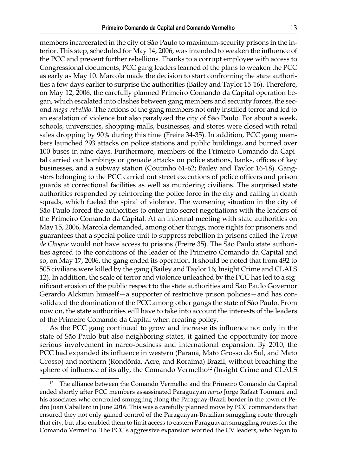members incarcerated in the city of São Paulo to maximum-security prisons in the interior. This step, scheduled for May 14, 2006, was intended to weaken the influence of the PCC and prevent further rebellions. Thanks to a corrupt employee with access to Congressional documents, PCC gang leaders learned of the plans to weaken the PCC as early as May 10. Marcola made the decision to start confronting the state authorities a few days earlier to surprise the authorities (Bailey and Taylor 15‑16). Therefore, on May 12, 2006, the carefully planned Primeiro Comando da Capital operation began, which escalated into clashes between gang members and security forces, the second *mega-rebelião*. The actions of the gang members not only instilled terror and led to an escalation of violence but also paralyzed the city of São Paulo. For about a week, schools, universities, shopping-malls, businesses, and stores were closed with retail sales dropping by 90% during this time (Freire 34-35). In addition, PCC gang members launched 293 attacks on police stations and public buildings, and burned over 100 buses in nine days. Furthermore, members of the Primeiro Comando da Capital carried out bombings or grenade attacks on police stations, banks, offices of key businesses, and a subway station (Coutinho 61-62; Bailey and Taylor 16-18). Gangsters belonging to the PCC carried out street executions of police officers and prison guards at correctional facilities as well as murdering civilians. The surprised state authorities responded by reinforcing the police force in the city and calling in death squads, which fueled the spiral of violence. The worsening situation in the city of São Paulo forced the authorities to enter into secret negotiations with the leaders of the Primeiro Comando da Capital. At an informal meeting with state authorities on May 15, 2006, Marcola demanded, among other things, more rights for prisoners and guarantees that a special police unit to suppress rebellion in prisons called the *Tropa de Choque* would not have access to prisons (Freire 35). The São Paulo state authorities agreed to the conditions of the leader of the Primeiro Comando da Capital and so, on May 17, 2006, the gang ended its operation. It should be noted that from 492 to 505 civilians were killed by the gang (Bailey and Taylor 16; Insight Crime and CLALS 12). In addition, the scale of terror and violence unleashed by the PCC has led to a significant erosion of the public respect to the state authorities and São Paulo Governor Gerardo Alckmin himself—a supporter of restrictive prison policies—and has consolidated the domination of the PCC among other gangs the state of São Paulo. From now on, the state authorities will have to take into account the interests of the leaders of the Primeiro Comando da Capital when creating policy.

As the PCC gang continued to grow and increase its influence not only in the state of São Paulo but also neighboring states, it gained the opportunity for more serious involvement in narco-business and international expansion. By 2010, the PCC had expanded its influence in western (Paraná, Mato Grosso do Sul, and Mato Grosso) and northern (Rondônia, Acre, and Roraima) Brazil, without breaching the sphere of influence of its ally, the Comando Vermelho<sup>12</sup> (Insight Crime and CLALS

The alliance between the Comando Vermelho and the Primeiro Comando da Capital ended shortly after PCC members assassinated Paraguayan *narco* Jorge Rafaat Toumani and his associates who controlled smuggling along the Paraguay-Brazil border in the town of Pedro Juan Caballero in June 2016. This was a carefully planned move by PCC commanders that ensured they not only gained control of the Paraguayan-Brazilian smuggling route through that city, but also enabled them to limit access to eastern Paraguayan smuggling routes for the Comando Vermelho. The PCC's aggressive expansion worried the CV leaders, who began to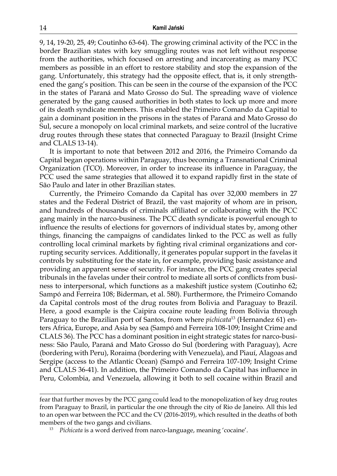9, 14, 19-20, 25, 49; Coutinho 63-64). The growing criminal activity of the PCC in the border Brazilian states with key smuggling routes was not left without response from the authorities, which focused on arresting and incarcerating as many PCC members as possible in an effort to restore stability and stop the expansion of the gang. Unfortunately, this strategy had the opposite effect, that is, it only strengthened the gang's position. This can be seen in the course of the expansion of the PCC in the states of Paraná and Mato Grosso do Sul. The spreading wave of violence generated by the gang caused authorities in both states to lock up more and more of its death syndicate members. This enabled the Primeiro Comando da Capitial to gain a dominant position in the prisons in the states of Paraná and Mato Grosso do Sul, secure a monopoly on local criminal markets, and seize control of the lucrative drug routes through these states that connected Paraguay to Brazil (Insight Crime and CLALS 13-14).

It is important to note that between 2012 and 2016, the Primeiro Comando da Capital began operations within Paraguay, thus becoming a Transnational Criminal Organization (TCO). Moreover, in order to increase its influence in Paraguay, the PCC used the same strategies that allowed it to expand rapidly first in the state of São Paulo and later in other Brazilian states.

Currently, the Primeiro Comando da Capital has over 32,000 members in 27 states and the Federal District of Brazil, the vast majority of whom are in prison, and hundreds of thousands of criminals affiliated or collaborating with the PCC gang mainly in the narco-business. The PCC death syndicate is powerful enough to influence the results of elections for governors of individual states by, among other things, financing the campaigns of candidates linked to the PCC as well as fully controlling local criminal markets by fighting rival criminal organizations and corrupting security services. Additionally, it generates popular support in the favelas it controls by substituting for the state in, for example, providing basic assistance and providing an apparent sense of security. For instance, the PCC gang creates special tribunals in the favelas under their control to mediate all sorts of conflicts from business to interpersonal, which functions as a makeshift justice system (Coutinho 62; Sampó and Ferreira 108; Biderman, et al. 580). Furthermore, the Primeiro Comando da Capital controls most of the drug routes from Bolivia and Paraguay to Brazil. Here, a good example is the Caipira cocaine route leading from Bolivia through Paraguay to the Brazilian port of Santos, from where *pichicata*13 (Hernandez 61) enters Africa, Europe, and Asia by sea (Sampó and Ferreira 108-109; Insight Crime and CLALS 36). The PCC has a dominant position in eight strategic states for narco-business: São Paulo, Paraná and Mato Grosso do Sul (bordering with Paraguay), Acre (bordering with Peru), Roraima (bordering with Venezuela), and Piauí, Alagoas and Sergipe (access to the Atlantic Ocean) (Sampó and Ferreira 107-109; Insight Crime and CLALS 36-41). In addition, the Primeiro Comando da Capital has influence in Peru, Colombia, and Venezuela, allowing it both to sell cocaine within Brazil and

fear that further moves by the PCC gang could lead to the monopolization of key drug routes from Paraguay to Brazil, in particular the one through the city of Rio de Janeiro. All this led to an open war between the PCC and the CV (2016-2019), which resulted in the deaths of both members of the two gangs and civilians.

<sup>13</sup> *Pichicata* is a word derived from narco-language, meaning 'cocaine'.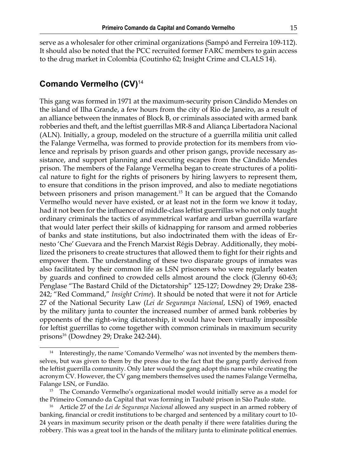serve as a wholesaler for other criminal organizations (Sampó and Ferreira 109-112). It should also be noted that the PCC recruited former FARC members to gain access to the drug market in Colombia (Coutinho 62; Insight Crime and CLALS 14).

# **Comando Vermelho (CV)**<sup>14</sup>

This gang was formed in 1971 at the maximum-security prison Cândido Mendes on the island of Ilha Grande, a few hours from the city of Rio de Janeiro, as a result of an alliance between the inmates of Block B, or criminals associated with armed bank robberies and theft, and the leftist guerrillas MR-8 and Aliança Libertadora Nacional (ALN). Initially, a group, modeled on the structure of a guerrilla militia unit called the Falange Vermelha, was formed to provide protection for its members from violence and reprisals by prison guards and other prison gangs, provide necessary assistance, and support planning and executing escapes from the Cândido Mendes prison. The members of the Falange Vermelha began to create structures of a political nature to fight for the rights of prisoners by hiring lawyers to represent them, to ensure that conditions in the prison improved, and also to mediate negotiations between prisoners and prison management.<sup>15</sup> It can be argued that the Comando Vermelho would never have existed, or at least not in the form we know it today, had it not been for the influence of middle-class leftist guerrillas who not only taught ordinary criminals the tactics of asymmetrical warfare and urban guerrilla warfare that would later perfect their skills of kidnapping for ransom and armed robberies of banks and state institutions, but also indoctrinated them with the ideas of Ernesto 'Che' Guevara and the French Marxist Régis Debray. Additionally, they mobilized the prisoners to create structures that allowed them to fight for their rights and empower them. The understanding of these two disparate groups of inmates was also facilitated by their common life as LSN prisoners who were regularly beaten by guards and confined to crowded cells almost around the clock (Glenny 60-63; Penglase "The Bastard Child of the Dictatorship" 125-127; Dowdney 29; Drake 238- 242; "Red Command," *Insight Crime*). It should be noted that were it not for Article 27 of the National Security Law (*Lei de Segurança Nacional*, LSN) of 1969, enacted by the military junta to counter the increased number of armed bank robberies by opponents of the right-wing dictatorship, it would have been virtually impossible for leftist guerrillas to come together with common criminals in maximum security prisons<sup>16</sup> (Dowdney 29; Drake 242-244).

<sup>&</sup>lt;sup>14</sup> Interestingly, the name 'Comando Vermelho' was not invented by the members themselves, but was given to them by the press due to the fact that the gang partly derived from the leftist guerrilla community. Only later would the gang adopt this name while creating the acronym CV. However, the CV gang members themselves used the names Falange Vermelha, Falange LSN, or Fundão.

<sup>&</sup>lt;sup>15</sup> The Comando Vermelho's organizational model would initially serve as a model for the Primeiro Comando da Capital that was forming in Taubaté prison in São Paulo state.

<sup>16</sup> Article 27 of the *Lei de Segurança Nacional* allowed any suspect in an armed robbery of banking, financial or credit institutions to be charged and sentenced by a military court to 10- 24 years in maximum security prison or the death penalty if there were fatalities during the robbery. This was a great tool in the hands of the military junta to eliminate political enemies.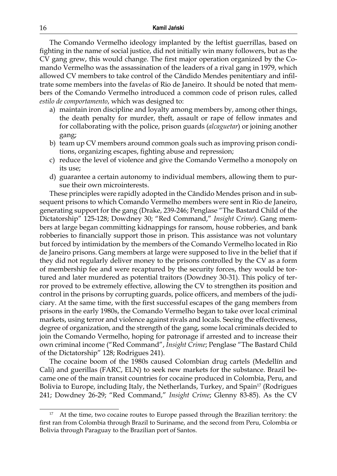The Comando Vermelho ideology implanted by the leftist guerrillas, based on fighting in the name of social justice, did not initially win many followers, but as the CV gang grew, this would change. The first major operation organized by the Comando Vermelho was the assassination of the leaders of a rival gang in 1979, which allowed CV members to take control of the Cândido Mendes penitentiary and infiltrate some members into the favela*s* of Rio de Janeiro. It should be noted that members of the Comando Vermelho introduced a common code of prison rules, called *estilo de comportamento*, which was designed to:

- a) maintain iron discipline and loyalty among members by, among other things, the death penalty for murder, theft, assault or rape of fellow inmates and for collaborating with the police, prison guards (*alcaguetar*) or joining another gang;
- b) team up CV members around common goals such as improving prison conditions, organizing escapes, fighting abuse and repression;
- c) reduce the level of violence and give the Comando Vermelho a monopoly on its use;
- d) guarantee a certain autonomy to individual members, allowing them to pursue their own microinterests.

These principles were rapidly adopted in the Cândido Mendes prison and in subsequent prisons to which Comando Vermelho members were sent in Rio de Janeiro, generating support for the gang (Drake, 239-246; Penglase "The Bastard Child of the Dictatorship" 125-128; Dowdney 30; "Red Command," *Insight Crime*). Gang members at large began committing kidnappings for ransom, house robberies, and bank robberies to financially support those in prison. This assistance was not voluntary but forced by intimidation by the members of the Comando Vermelho located in Rio de Janeiro prisons. Gang members at large were supposed to live in the belief that if they did not regularly deliver money to the prisons controlled by the CV as a form of membership fee and were recaptured by the security forces, they would be tortured and later murdered as potential traitors (Dowdney 30-31). This policy of terror proved to be extremely effective, allowing the CV to strengthen its position and control in the prisons by corrupting guards, police officers, and members of the judiciary. At the same time, with the first successful escapes of the gang members from prisons in the early 1980s, the Comando Vermelho began to take over local criminal markets, using terror and violence against rivals and locals. Seeing the effectiveness, degree of organization, and the strength of the gang, some local criminals decided to join the Comando Vermelho, hoping for patronage if arrested and to increase their own criminal income ("Red Command", *Insight Crime*; Penglase "The Bastard Child of the Dictatorship" 128; Rodrigues 241).

The cocaine boom of the 1980s caused Colombian drug cartels (Medellín and Cali) and guerillas (FARC, ELN) to seek new markets for the substance. Brazil became one of the main transit countries for cocaine produced in Colombia, Peru, and Bolivia to Europe, including Italy, the Netherlands, Turkey, and Spain<sup>17</sup> (Rodrigues 241; Dowdney 26-29; "Red Command," *Insight Crime*; Glenny 83-85). As the CV

At the time, two cocaine routes to Europe passed through the Brazilian territory: the first ran from Colombia through Brazil to Suriname, and the second from Peru, Colombia or Bolivia through Paraguay to the Brazilian port of Santos.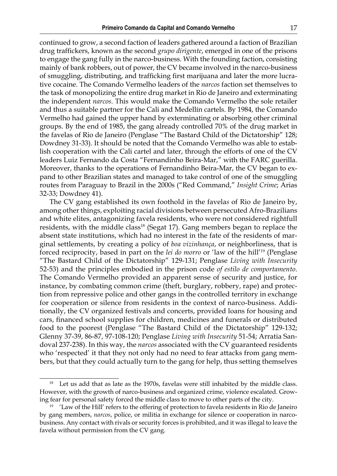continued to grow, a second faction of leaders gathered around a faction of Brazilian drug traffickers, known as the second *grupo dirigente*, emerged in one of the prisons to engage the gang fully in the narco-business. With the founding faction, consisting mainly of bank robbers, out of power, the CV became involved in the narco-business of smuggling, distributing, and trafficking first marijuana and later the more lucrative cocaine. The Comando Vermelho leaders of the *narcos* faction set themselves to the task of monopolizing the entire drug market in Rio de Janeiro and exterminating the independent *narcos*. This would make the Comando Vermelho the sole retailer and thus a suitable partner for the Cali and Medellín cartels. By 1984, the Comando Vermelho had gained the upper hand by exterminating or absorbing other criminal groups. By the end of 1985, the gang already controlled 70% of the drug market in the favelas of Rio de Janeiro (Penglase "The Bastard Child of the Dictatorship" 128; Dowdney 31-33). It should be noted that the Comando Vermelho was able to establish cooperation with the Cali cartel and later, through the efforts of one of the CV leaders Luiz Fernando da Costa "Fernandinho Beira-Mar," with the FARC guerilla. Moreover, thanks to the operations of Fernandinho Beira-Mar, the CV began to expand to other Brazilian states and managed to take control of one of the smuggling routes from Paraguay to Brazil in the 2000s ("Red Command," *Insight Crime*; Arias 32-33; Dowdney 41).

The CV gang established its own foothold in the favela*s* of Rio de Janeiro by, among other things, exploiting racial divisions between persecuted Afro-Brazilians and white elites, antagonizing favela residents, who were not considered rightfull residents, with the middle class<sup>18</sup> (Segat 17). Gang members began to replace the absent state institutions, which had no interest in the fate of the residents of marginal settlements, by creating a policy of *boa vizinhança*, or neighborliness, that is forced reciprocity, based in part on the *lei do morro* or 'law of the hill'<sup>19</sup> (Penglase "The Bastard Child of the Dictatorship" 129-131; Penglase *Living with Insecurity* 52-53) and the principles embodied in the prison code *of estilo de comportamento*. The Comando Vermelho provided an apparent sense of security and justice, for instance, by combating common crime (theft, burglary, robbery, rape) and protection from repressive police and other gangs in the controlled territory in exchange for cooperation or silence from residents in the context of narco-business. Additionally, the CV organized festivals and concerts, provided loans for housing and cars, financed school supplies for children, medicines and funerals or distributed food to the poorest (Penglase "The Bastard Child of the Dictatorship" 129-132; Glenny 37-39, 86-87, 97-108-120; Penglase *Living with Insecurity* 51-54; Arratia Sandoval 237-238). In this way, the *narcos* associated with the CV guaranteed residents who 'respected' it that they not only had no need to fear attacks from gang members, but that they could actually turn to the gang for help, thus setting themselves

Let us add that as late as the 1970s, favelas were still inhabited by the middle class. However, with the growth of narco-business and organized crime, violence escalated. Growing fear for personal safety forced the middle class to move to other parts of the city.

<sup>&</sup>lt;sup>19</sup> 'Law of the Hill' refers to the offering of protection to favela residents in Rio de Janeiro by gang members, *narcos*, police, or militia in exchange for silence or cooperation in narcobusiness. Any contact with rivals or security forces is prohibited, and it was illegal to leave the favela without permission from the CV gang.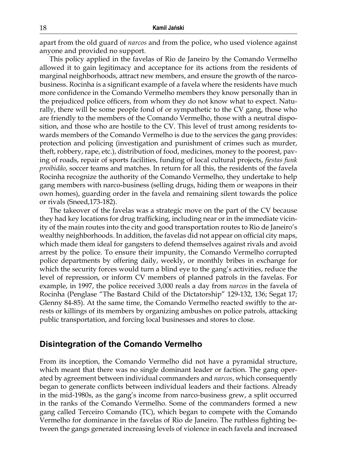apart from the old guard of *narcos* and from the police, who used violence against anyone and provided no support.

This policy applied in the favelas of Rio de Janeiro by the Comando Vermelho allowed it to gain legitimacy and acceptance for its actions from the residents of marginal neighborhoods, attract new members, and ensure the growth of the narcobusiness. Rocinha is a significant example of a favela where the residents have much more confidence in the Comando Vermelho members they know personally than in the prejudiced police officers, from whom they do not know what to expect. Naturally, there will be some people fond of or sympathetic to the CV gang, those who are friendly to the members of the Comando Vermelho, those with a neutral disposition, and those who are hostile to the CV. This level of trust among residents towards members of the Comando Vermelho is due to the services the gang provides: protection and policing (investigation and punishment of crimes such as murder, theft, robbery, rape, etc.), distribution of food, medicines, money to the poorest, paving of roads, repair of sports facilities, funding of local cultural projects, *fiestas funk proibidão*, soccer teams and matches. In return for all this, the residents of the favela Rocinha recognize the authority of the Comando Vermelho, they undertake to help gang members with narco-business (selling drugs, hiding them or weapons in their own homes), guarding order in the favela and remaining silent towards the police or rivals (Sneed,173-182).

The takeover of the favelas was a strategic move on the part of the CV because they had key locations for drug trafficking, including near or in the immediate vicinity of the main routes into the city and good transportation routes to Rio de Janeiro's wealthy neighborhoods. In addition, the favelas did not appear on official city maps, which made them ideal for gangsters to defend themselves against rivals and avoid arrest by the police. To ensure their impunity, the Comando Vermelho corrupted police departments by offering daily, weekly, or monthly bribes in exchange for which the security forces would turn a blind eye to the gang's activities, reduce the level of repression, or inform CV members of planned patrols in the favelas. For example, in 1997, the police received 3,000 reals a day from *narcos* in the favela of Rocinha (Penglase "The Bastard Child of the Dictatorship" 129-132, 136; Segat 17; Glenny 84-85). At the same time, the Comando Vermelho reacted swiftly to the arrests or killings of its members by organizing ambushes on police patrols, attacking public transportation, and forcing local businesses and stores to close.

#### **Disintegration of the Comando Vermelho**

From its inception, the Comando Vermelho did not have a pyramidal structure, which meant that there was no single dominant leader or faction. The gang operated by agreement between individual commanders and *narcos*, which consequently began to generate conflicts between individual leaders and their factions. Already in the mid-1980s, as the gang's income from narco-business grew, a split occurred in the ranks of the Comando Vermelho. Some of the commanders formed a new gang called Terceiro Comando (TC), which began to compete with the Comando Vermelho for dominance in the favelas of Rio de Janeiro. The ruthless fighting between the gangs generated increasing levels of violence in each favela and increased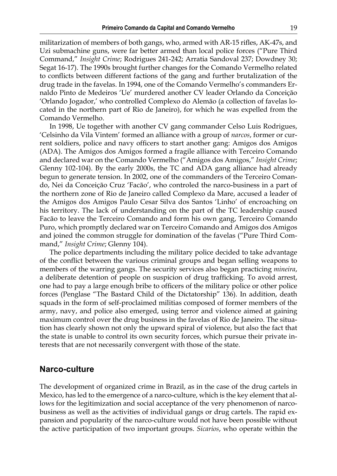militarization of members of both gangs, who, armed with AR-15 rifles, AK-47s, and Uzi submachine guns, were far better armed than local police forces ("Pure Third Command," *Insight Crime*; Rodrigues 241-242; Arratia Sandoval 237; Dowdney 30; Segat 16-17). The 1990s brought further changes for the Comando Vermelho related to conflicts between different factions of the gang and further brutalization of the drug trade in the favelas. In 1994, one of the Comando Vermelho's commanders Ernaldo Pinto de Medeiros 'Ue' murdered another CV leader Orlando da Conceição 'Orlando Jogador,' who controlled Complexo do Alemão (a collection of favelas located in the northern part of Rio de Janeiro), for which he was expelled from the Comando Vermelho.

In 1998, Ue together with another CV gang commander Celso Luis Rodrigues, 'Celsinho da Vila Vintem' formed an alliance with a group of *narcos*, former or current soldiers, police and navy officers to start another gang: Amigos dos Amigos (ADA). The Amigos dos Amigos formed a fragile alliance with Terceiro Comando and declared war on the Comando Vermelho ("Amigos dos Amigos," *Insight Crime*; Glenny 102-104). By the early 2000s, the TC and ADA gang alliance had already begun to generate tension. In 2002, one of the commanders of the Terceiro Comando, Nei da Conceição Cruz 'Facão', who controled the narco-business in a part of the northern zone of Rio de Janeiro called Complexo da Mare, accused a leader of the Amigos dos Amigos Paulo Cesar Silva dos Santos 'Linho' of encroaching on his territory. The lack of understanding on the part of the TC leadership caused Facão to leave the Terceiro Comando and form his own gang, Terceiro Comando Puro, which promptly declared war on Terceiro Comando and Amigos dos Amigos and joined the common struggle for domination of the favelas ("Pure Third Command," *Insight Crime*; Glenny 104).

The police departments including the military police decided to take advantage of the conflict between the various criminal groups and began selling weapons to members of the warring gangs. The security services also began practicing *mineira*, a deliberate detention of people on suspicion of drug trafficking. To avoid arrest, one had to pay a large enough bribe to officers of the military police or other police forces (Penglase "The Bastard Child of the Dictatorship" 136). In addition, death squads in the form of self-proclaimed militias composed of former members of the army, navy, and police also emerged, using terror and violence aimed at gaining maximum control over the drug business in the favelas of Rio de Janeiro. The situation has clearly shown not only the upward spiral of violence, but also the fact that the state is unable to control its own security forces, which pursue their private interests that are not necessarily convergent with those of the state.

#### **Narco-culture**

The development of organized crime in Brazil, as in the case of the drug cartels in Mexico, has led to the emergence of a narco-culture, which is the key element that allows for the legitimization and social acceptance of the very phenomenon of narcobusiness as well as the activities of individual gangs or drug cartels. The rapid expansion and popularity of the narco-culture would not have been possible without the active participation of two important groups. *Sicarios*, who operate within the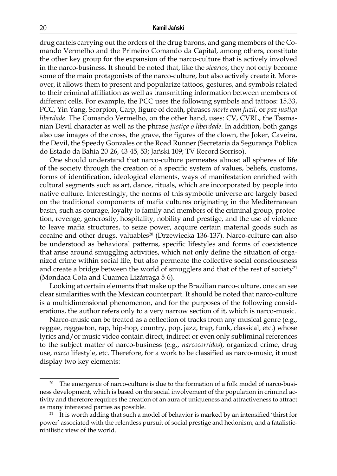drug cartels carrying out the orders of the drug barons, and gang members of the Comando Vermelho and the Primeiro Comando da Capital, among others, constitute the other key group for the expansion of the narco-culture that is actively involved in the narco-business. It should be noted that, like the *sicarios*, they not only become some of the main protagonists of the narco-culture, but also actively create it. Moreover, it allows them to present and popularize tattoos, gestures, and symbols related to their criminal affiliation as well as transmitting information between members of different cells. For example, the PCC uses the following symbols and tattoos: 15.33, PCC, Yin Yang, Scorpion, Carp, figure of death, phrases *morte com fuzil*, or *paz justiça liberdade*. The Comando Vermelho, on the other hand, uses: CV, CVRL, the Tasmanian Devil character as well as the phrase *justiça o liberdade*. In addition, both gangs also use images of the cross, the grave, the figures of the clown, the Joker, Caveira, the Devil, the Speedy Gonzales or the Road Runner (Secretaria da Segurança Pública do Estado da Bahia 20-26, 43-45, 53; Jański 109; TV Record Sorriso).

One should understand that narco-culture permeates almost all spheres of life of the society through the creation of a specific system of values, beliefs, customs, forms of identification, ideological elements, ways of manifestation enriched with cultural segments such as art, dance, rituals, which are incorporated by people into native culture. Interestingly, the norms of this symbolic universe are largely based on the traditional components of mafia cultures originating in the Mediterranean basin, such as courage, loyalty to family and members of the criminal group, protection, revenge, generosity, hospitality, nobility and prestige, and the use of violence to leave mafia structures, to seize power, acquire certain material goods such as cocaine and other drugs, valuables<sup>20</sup> (Drzewiecka 136-137). Narco-culture can also be understood as behavioral patterns, specific lifestyles and forms of coexistence that arise around smuggling activities, which not only define the situation of organized crime within social life, but also permeate the collective social consciousness and create a bridge between the world of smugglers and that of the rest of society<sup>21</sup> (Mondaca Cota and Cuamea Lizárraga 5-6).

Looking at certain elements that make up the Brazilian narco-culture, one can see clear similarities with the Mexican counterpart. It should be noted that narco-culture is a multidimensional phenomenon, and for the purposes of the following considerations, the author refers only to a very narrow section of it, which is narco-music.

Narco-music can be treated as a collection of tracks from any musical genre (e.g., reggae, reggaeton, rap, hip-hop, country, pop, jazz, trap, funk, classical, etc.) whose lyrics and/or music video contain direct, indirect or even only subliminal references to the subject matter of narco-business (e.g., *narcocorridos*), organized crime, drug use, *narco* lifestyle, etc. Therefore, for a work to be classified as narco-music, it must display two key elements:

The emergence of narco-culture is due to the formation of a folk model of narco-business development, which is based on the social involvement of the population in criminal activity and therefore requires the creation of an aura of uniqueness and attractiveness to attract as many interested parties as possible.

<sup>&</sup>lt;sup>21</sup> It is worth adding that such a model of behavior is marked by an intensified 'thirst for power' associated with the relentless pursuit of social prestige and hedonism, and a fatalisticnihilistic view of the world.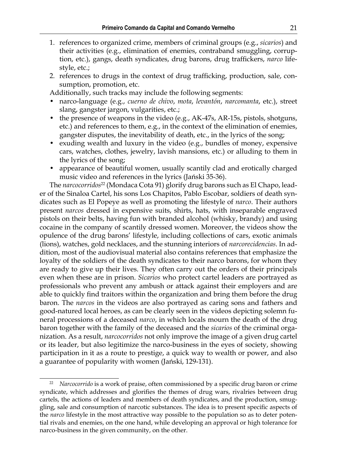- 1. references to organized crime, members of criminal groups (e.g., *sicarios*) and their activities (e.g., elimination of enemies, contraband smuggling, corruption, etc.), gangs, death syndicates, drug barons, drug traffickers, *narco* lifestyle, etc.;
- 2. references to drugs in the context of drug trafficking, production, sale, consumption, promotion, etc.

Additionally, such tracks may include the following segments:

- narco-language (e.g., *cuerno de chivo*, *mota*, *levantón*, *narcomanta*, etc.), street slang, gangster jargon, vulgarities, etc.;
- the presence of weapons in the video (e.g., AK-47s, AR-15s, pistols, shotguns, etc.) and references to them, e.g., in the context of the elimination of enemies, gangster disputes, the inevitability of death, etc., in the lyrics of the song;
- exuding wealth and luxury in the video (e.g., bundles of money, expensive cars, watches, clothes, jewelry, lavish mansions, etc.) or alluding to them in the lyrics of the song;
- appearance of beautiful women, usually scantily clad and erotically charged music video and references in the lyrics (Jański 35-36).

The *narcocorridos<sup>22</sup>* (Mondaca Cota 91) glorify drug barons such as El Chapo, leader of the Sinaloa Cartel, his sons Los Chapitos, Pablo Escobar, soldiers of death syndicates such as El Popeye as well as promoting the lifestyle of *narco*. Their authors present *narcos* dressed in expensive suits, shirts, hats, with inseparable engraved pistols on their belts, having fun with branded alcohol (whisky, brandy) and using cocaine in the company of scantily dressed women. Moreover, the videos show the opulence of the drug barons' lifestyle, including collections of cars, exotic animals (lions), watches, gold necklaces, and the stunning interiors of *narcorecidencias*. In addition, most of the audiovisual material also contains references that emphasize the loyalty of the soldiers of the death syndicates to their narco barons, for whom they are ready to give up their lives. They often carry out the orders of their principals even when these are in prison. *Sicarios* who protect cartel leaders are portrayed as professionals who prevent any ambush or attack against their employers and are able to quickly find traitors within the organization and bring them before the drug baron. The *narcos* in the videos are also portrayed as caring sons and fathers and good-natured local heroes, as can be clearly seen in the videos depicting solemn funeral processions of a deceased *narco*, in which locals mourn the death of the drug baron together with the family of the deceased and the *sicarios* of the criminal organization. As a result, *narcocorridos* not only improve the image of a given drug cartel or its leader, but also legitimize the narco-business in the eyes of society, showing participation in it as a route to prestige, a quick way to wealth or power, and also a guarantee of popularity with women (Jański, 129-131).

<sup>22</sup> *Narcocorrido* is a work of praise, often commissioned by a specific drug baron or crime syndicate, which addresses and glorifies the themes of drug wars, rivalries between drug cartels, the actions of leaders and members of death syndicates, and the production, smuggling, sale and consumption of narcotic substances. The idea is to present specific aspects of the *narco* lifestyle in the most attractive way possible to the population so as to deter potential rivals and enemies, on the one hand, while developing an approval or high tolerance for narco-business in the given community, on the other.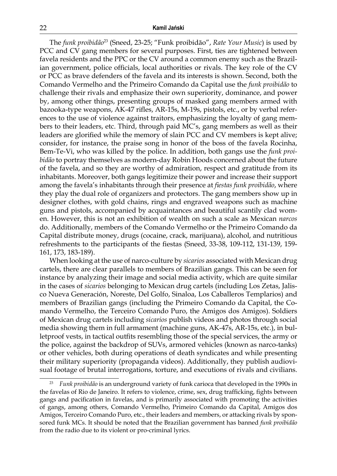The *funk proibidão*<sup>23</sup> (Sneed, 23-25; "Funk proibidão", *Rate Your Music*) is used by PCC and CV gang members for several purposes. First, ties are tightened between favela residents and the PPC or the CV around a common enemy such as the Brazilian government, police officials, local authorities or rivals. The key role of the CV or PCC as brave defenders of the favela and its interests is shown. Second, both the Comando Vermelho and the Primeiro Comando da Capital use the *funk proibidão* to challenge their rivals and emphasize their own superiority, dominance, and power by, among other things, presenting groups of masked gang members armed with bazooka-type weapons, AK-47 rifles, AR-15s, M-19s, pistols, etc., or by verbal references to the use of violence against traitors, emphasizing the loyalty of gang members to their leaders, etc. Third, through paid MC's, gang members as well as their leaders are glorified while the memory of slain PCC and CV members is kept alive; consider, for instance, the praise song in honor of the boss of the favela Rocinha, Bem-Te-Vi, who was killed by the police. In addition, both gangs use the *funk proibidão* to portray themselves as modern-day Robin Hoods concerned about the future of the favela, and so they are worthy of admiration, respect and gratitude from its inhabitants. Moreover, both gangs legitimize their power and increase their support among the favela's inhabitants through their presence at *fiestas funk proibidão*, where they play the dual role of organizers and protectors. The gang members show up in designer clothes, with gold chains, rings and engraved weapons such as machine guns and pistols, accompanied by acquaintances and beautiful scantily clad women. However, this is not an exhibition of wealth on such a scale as Mexican *narcos* do. Additionally, members of the Comando Vermelho or the Primeiro Comando da Capital distribute money, drugs (cocaine, crack, marijuana), alcohol, and nutritious refreshments to the participants of the fiestas (Sneed, 33-38, 109-112, 131-139, 159- 161, 173, 183-189).

When looking at the use of narco-culture by *sicarios* associated with Mexican drug cartels, there are clear parallels to members of Brazilian gangs. This can be seen for instance by analyzing their image and social media activity, which are quite similar in the cases of *sicarios* belonging to Mexican drug cartels (including Los Zetas, Jalisco Nueva Generación, Noreste, Del Golfo, Sinaloa, Los Caballeros Templarios) and members of Brazilian gangs (including the Primeiro Comando da Capital, the Comando Vermelho, the Terceiro Comando Puro, the Amigos dos Amigos). Soldiers of Mexican drug cartels including *sicarios* publish videos and photos through social media showing them in full armament (machine guns, AK-47s, AR-15s, etc.), in bulletproof vests, in tactical outfits resembling those of the special services, the army or the police, against the backdrop of SUVs, armored vehicles (known as narco-tanks) or other vehicles, both during operations of death syndicates and while presenting their military superiority (propaganda videos). Additionally, they publish audiovisual footage of brutal interrogations, torture, and executions of rivals and civilians.

<sup>23</sup> *Funk proibidão* is an underground variety of funk carioca that developed in the 1990s in the favelas of Rio de Janeiro. It refers to violence, crime, sex, drug trafficking, fights between gangs and pacification in favelas, and is primarily associated with promoting the activities of gangs, among others, Comando Vermelho, Primeiro Comando da Capital, Amigos dos Amigos, Terceiro Comando Puro, etc., their leaders and members, or attacking rivals by sponsored funk MCs. It should be noted that the Brazilian government has banned *funk proibidão* from the radio due to its violent or pro-criminal lyrics.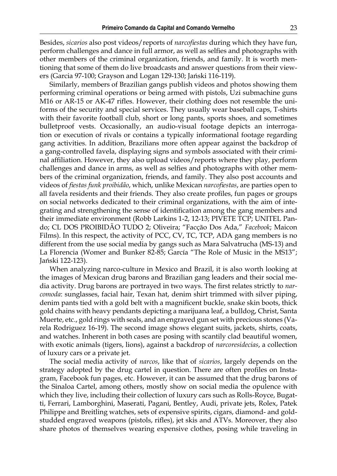Besides, *sicarios* also post videos/reports of *narcofiestas* during which they have fun, perform challenges and dance in full armor, as well as selfies and photographs with other members of the criminal organization, friends, and family. It is worth mentioning that some of them do live broadcasts and answer questions from their viewers (Garcia 97-100; Grayson and Logan 129-130; Jański 116-119).

Similarly, members of Brazilian gangs publish videos and photos showing them performing criminal operations or being armed with pistols, Uzi submachine guns M16 or AR-15 or AK-47 rifles. However, their clothing does not resemble the uniforms of the security and special services. They usually wear baseball caps, T-shirts with their favorite football club, short or long pants, sports shoes, and sometimes bulletproof vests. Occasionally, an audio-visual footage depicts an interrogation or execution of rivals or contains a typically informational footage regarding gang activities. In addition, Brazilians more often appear against the backdrop of a gang-controlled favela, displaying signs and symbols associated with their criminal affiliation. However, they also upload videos/reports where they play, perform challenges and dance in arms, as well as selfies and photographs with other members of the criminal organization, friends, and family. They also post accounts and videos of *fiestas funk proibidão*, which, unlike Mexican *narcofiestas*, are parties open to all favela residents and their friends. They also create profiles, fun pages or groups on social networks dedicated to their criminal organizations, with the aim of integrating and strengthening the sense of identification among the gang members and their immediate environment (Robb Larkins 1-2, 12-13; PIVETE TCP; UNITEL Pando; CL DOS PROIBIDÃO TUDO 2; Oliveira; "Facção Dos Ada," *Facebook*; Maicon Films). In this respect, the activity of PCC, CV, TC, TCP, ADA gang members is no different from the use social media by gangs such as Mara Salvatrucha (MS-13) and La Florencia (Womer and Bunker 82-85; García "The Role of Music in the MS13"; Jański 122-123).

When analyzing narco-culture in Mexico and Brazil, it is also worth looking at the images of Mexican drug barons and Brazilian gang leaders and their social media activity. Drug barons are portrayed in two ways. The first relates strictly to *narcomoda*: sunglasses, facial hair, Texan hat, denim shirt trimmed with silver piping, denim pants tied with a gold belt with a magnificent buckle, snake skin boots, thick gold chains with heavy pendants depicting a marijuana leaf, a bulldog, Christ, Santa Muerte, etc., gold rings with seals, and an engraved gun set with precious stones (Varela Rodriguez 16-19). The second image shows elegant suits, jackets, shirts, coats, and watches. Inherent in both cases are posing with scantily clad beautiful women, with exotic animals (tigers, lions), against a backdrop of *narcoresidecias*, a collection of luxury cars or a private jet.

The social media activity of *narcos*, like that of *sicarios*, largely depends on the strategy adopted by the drug cartel in question. There are often profiles on Instagram, Facebook fun pages, etc. However, it can be assumed that the drug barons of the Sinaloa Cartel, among others, mostly show on social media the opulence with which they live, including their collection of luxury cars such as Rolls-Royce, Bugatti, Ferrari, Lamborghini, Maserati, Pagani, Bentley, Audi, private jets, Rolex, Patek Philippe and Breitling watches, sets of expensive spirits, cigars, diamond- and goldstudded engraved weapons (pistols, rifles), jet skis and ATVs. Moreover, they also share photos of themselves wearing expensive clothes, posing while traveling in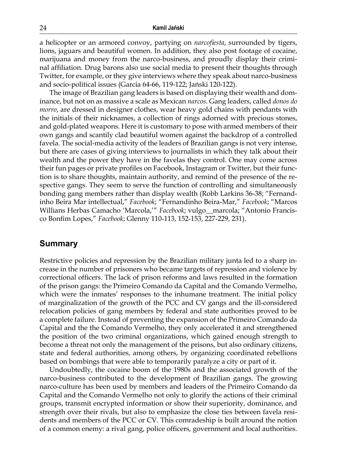a helicopter or an armored convoy, partying on *narcofiesta*, surrounded by tigers, lions, jaguars and beautiful women. In addition, they also post footage of cocaine, marijuana and money from the narco-business, and proudly display their criminal affiliation. Drug barons also use social media to present their thoughts through Twitter, for example, or they give interviews where they speak about narco-business and socio-political issues (Garcia 64-66, 119-122; Jański 120-122).

The image of Brazilian gang leaders is based on displaying their wealth and dominance, but not on as massive a scale as Mexican *narcos*. Gang leaders, called *donos do morro*, are dressed in designer clothes, wear heavy gold chains with pendants with the initials of their nicknames, a collection of rings adorned with precious stones, and gold-plated weapons. Here it is customary to pose with armed members of their own gangs and scantily clad beautiful women against the backdrop of a controlled favela. The social-media activity of the leaders of Brazilian gangs is not very intense, but there are cases of giving interviews to journalists in which they talk about their wealth and the power they have in the favelas they control. One may come across their fun pages or private profiles on Facebook, Instagram or Twitter, but their function is to share thoughts, maintain authority, and remind of the presence of the respective gangs. They seem to serve the function of controlling and simultaneously bonding gang members rather than display wealth (Robb Larkins 36-38; "Fernandinho Beira Mar intellectual," *Facebook*; "Fernandinho Beira-Mar," *Facebook*; "Marcos Willians Herbas Camacho 'Marcola,'" *Facebook*; vulgo\_\_marcola; "Antonio Francisco Bonfim Lopes," *Facebook*; Glenny 110-113, 152-153, 227-229, 231).

#### **Summary**

Restrictive policies and repression by the Brazilian military junta led to a sharp increase in the number of prisoners who became targets of repression and violence by correctional officers. The lack of prison reforms and laws resulted in the formation of the prison gangs: the Primeiro Comando da Capital and the Comando Vermelho, which were the inmates' responses to the inhumane treatment. The initial policy of marginalization of the growth of the PCC and CV gangs and the ill-considered relocation policies of gang members by federal and state authorities proved to be a complete failure. Instead of preventing the expansion of the Primeiro Comando da Capital and the the Comando Vermelho, they only accelerated it and strengthened the position of the two criminal organizations, which gained enough strength to become a threat not only the management of the prisons, but also ordinary citizens, state and federal authorities, among others, by organizing coordinated rebellions based on bombings that were able to temporarily paralyze a city or part of it.

Undoubtedly, the cocaine boom of the 1980s and the associated growth of the narco-business contributed to the development of Brazilian gangs. The growing narco-culture has been used by members and leaders of the Primeiro Comando da Capital and the Comando Vermelho not only to glorify the actions of their criminal groups, transmit encrypted information or show their superiority, dominance, and strength over their rivals, but also to emphasize the close ties between favela residents and members of the PCC or CV. This comradeship is built around the notion of a common enemy: a rival gang, police officers, government and local authorities.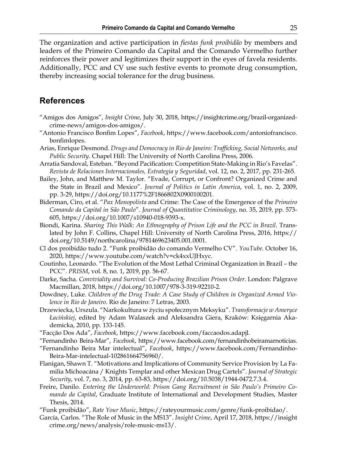The organization and active participation in *fiestas funk proibidão* by members and leaders of the Primeiro Comando da Capital and the Comando Vermelho further reinforces their power and legitimizes their support in the eyes of favela residents. Additionally, PCC and CV use such festive events to promote drug consumption, thereby increasing social tolerance for the drug business.

## **References**

- "Amigos dos Amigos", *Insight Crime*, July 30, 2018, [https://insightcrime.org/brazil-organized](https://insightcrime.org/brazil-organized-crime-news/amigos-dos-amigos/)[crime-news/amigos-dos-amigos/.](https://insightcrime.org/brazil-organized-crime-news/amigos-dos-amigos/)
- "Antonio Francisco Bonfim Lopes", *Facebook*, https://www.facebook.com/antoniofrancisco. bonfimlopes.
- Arias, Enrique Desmond. *Drugs and Democracy in Rio de Janeiro: Trafficking, Social Networks, and Public Security*. Chapel Hill: The University of North Carolina Press, 2006.
- Arratia Sandoval, Esteban. "Beyond Pacification: Competition State-Making in Rio's Favelas". *Revista de Relaciones Internacionales, Estrategia y Seguridad*, vol. 12, no. 2, 2017, pp. 231-265.
- Bailey, John, and Matthew M. Taylor. "Evade, Corrupt, or Confront? Organized Crime and the State in Brazil and Mexico". *Journal of Politics in Latin America*, vol. 1, no. 2, 2009, pp. 3-29, [https://doi.org/10.1177%2F1866802X0900100201.](https://doi.org/10.1177%2F1866802X0900100201)
- Biderman, Ciro, et al. "*Pax Monopolista* and Crime: The Case of the Emergence of the *Primeiro Comando da Capital in São Paulo*". *Journal of Quantitative Criminology*, no. 35, 2019, pp. 573- 605, [https://doi.org/10.1007/s10940-018-9393-x.](https://doi.org/10.1007/s10940-018-9393-x)
- Biondi, Karina. *Sharing This Walk: An Ethnography of Prison Life and the PCC in Brazil*. Translated by John F. Collins, Chapel Hill: University of North Carolina Press, 2016, [https://](https://doi.org/10.5149/northcarolina/9781469623405.001.0001) [doi.org/10.5149/northcarolina/9781469623405.001.0001.](https://doi.org/10.5149/northcarolina/9781469623405.001.0001)
- Cl dos proibidão tudo 2. "Funk proibidão do comando Vermelho CV". *YouTube*. October 16, 2020, [https://www.youtube.com/watch?v=ck4xxUJHxyc.](https://www.youtube.com/watch?v=ck4xxUJHxyc)
- Coutinho, Leonardo. "The Evolution of the Most Lethal Criminal Organization in Brazil the PCC". *PRISM*, vol. 8, no. 1, 2019, pp. 56-67.
- Darke, Sacha. *Conviviality and Survival: Co-Producing Brazilian Prison Order*. London: Palgrave Macmillan, 2018,<https://doi.org/10.1007/978-3-319-92210-2>.
- Dowdney, Luke. *Children of the Drug Trade*: *A Case Study of Children in Organized Armed Violence in Rio de Janeiro*. Rio de Janeiro: 7 Letras, 2003.
- Drzewiecka, Urszula. "Narkokultura w życiu społecznym Meksyku". *Transformacje w Ameryce Łacińskiej*, edited by Adam Walaszek and Aleksandra Giera, Kraków: Księgarnia Akademicka, 2010, pp. 133-145.
- "Facção Dos Ada", *Facebook*, https://www.facebook.com/faccaodos.adapjl.
- "Fernandinho Beira-Mar", *Facebook*, https://www.facebook.com/fernandinhobeiramarnoticias.
- "Fernandinho Beira Mar intelectual", *Facebook*, https://www.facebook.com/Fernandinho-Beira-Mar-intelectual-102861664756960/.
- Flanigan, Shawn T. "Motivations and Implications of Community Service Provision by La Familia Michoacána / Knights Templar and other Mexican Drug Cartels". *Journal of Strategic Security*, vol. 7, no. 3, 2014, pp. 63-83, [https://doi.org/10.5038/1944-0472.7.3.4.](https://doi.org/10.5038/1944-0472.7.3.4)
- Freire, Danilo. *Entering the Underworld: Prison Gang Recruitment in São Paulo's Primeiro Comando da Capital*, Graduate Institute of International and Development Studies, Master Thesis, 2014.
- "Funk proibidão", *Rate Your Music*, https://rateyourmusic.com/genre/funk-proibidao/.
- García, Carlos. "The Role of Music in the MS13". *Insight Crime*, April 17, 2018, https://insight crime.org/news/analysis/role-music-ms13/.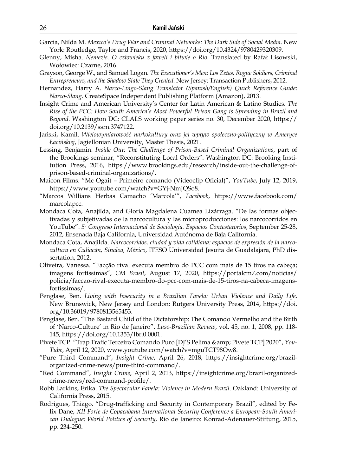- Garcia, Nilda M. *Mexico's Drug War and Criminal Networks: The Dark Side of Social Media*. New York: Routledge, Taylor and Francis, 2020, [https://doi.org/10.4324/9780429320309.](https://doi.org/10.4324/9780429320309)
- Glenny, Misha. *Nemezis. O człowieku z faweli i bitwie o Rio*. Translated by Rafał Lisowski, Wołowiec: Czarne, 2016.
- Grayson, George W., and Samuel Logan. *The Executioner's Men: Los Zetas, Rogue Soldiers, Criminal Entrepreneurs, and the Shadow State They Created*. New Jersey: Transaction Publishers, 2012.
- Hernandez, Harry A. *Narco-Lingo-Slang Translator (Spanish/English) Quick Reference Guide: Narco-Slang*. CreateSpace Independent Publishing Platform (Amazon), 2013.
- Insight Crime and American University's Center for Latin American & Latino Studies. *The Rise of the PCC: How South America's Most Powerful Prison Gang is Spreading in Brazil and Beyond*. Washington DC: CLALS working paper series no. 30, December 2020, [https://](https://doi.org/10.2139/ssrn.3747122) [doi.org/10.2139/ssrn.3747122.](https://doi.org/10.2139/ssrn.3747122)
- Jański, Kamil. *Wielowymiarowość narkokultury oraz jej wpływ społeczno-polityczny w Ameryce Łacińskiej*, Jagiellonian University, Master Thesis, 2021.
- Lessing, Benjamin. *Inside Out: The Challenge of Prison-Based Criminal Organizations*, part of the Brookings seminar, "Reconstituting Local Orders". Washington DC: Brooking Institution Press, 2016, https://www.brookings.edu/research/inside-out-the-challenge-ofprison-based-criminal-organizations/.
- Maicon Films. "Mc Ogait Primeiro comando (Videoclip Oficial)", *YouTube*, July 12, 2019, https://www.youtube.com/watch?v=GYj-NmJQSo8.
- "Marcos Willians Herbas Camacho 'Marcola'", *Facebook*, https://www.facebook.com/ marcolapcc.
- Mondaca Cota, Anajilda, and Gloria Magdalena Cuamea Lizárraga. "De las formas objectivadas y subjetivadas de la narcocultura y las microproducciones: los narcocorridos en YouTube". *5o Congreso Internacional de Sociología. Espacios Contestatorios*, September 25-28, 2012, Ensenada Baja California, Universidad Autónoma de Baja California.
- Mondaca Cota, Anajilda. *Narcocorridos, ciudad y vida cotidiana: espacios de expresión de la narcocultura en Culiacán, Sinaloa, México*, ITESO Universidad Jesuita de Guadalajara, PhD dissertation, 2012.
- Oliveira, Vanessa. "Facção rival executa membro do PCC com mais de 15 tiros na cabeça; imagens fortíssimas", *CM Brasil*, August 17, 2020, https://portalcm7.com/noticias/ policia/faccao-rival-executa-membro-do-pcc-com-mais-de-15-tiros-na-cabeca-imagensfortissimas/.
- Penglase, Ben. *Living with Insecurity in a Brazilian Favela: Urban Violence and Daily Life*. New Brunswick, New Jersey and London: Rutgers University Press, 2014, [https://doi.](https://doi.org/10.36019/9780813565453) [org/10.36019/9780813565453](https://doi.org/10.36019/9780813565453).
- Penglase, Ben. "The Bastard Child of the Dictatorship: The Comando Vermelho and the Birth of 'Narco-Culture' in Rio de Janeiro". *Luso-Brazilian Review*, vol. 45, no. 1, 2008, pp. 118- 145, <https://doi.org/10.1353/lbr.0.0001>.
- Pivete TCP. "Trap Trafic Terceiro Comando Puro [DJ'S Pelima & amp; Pivete TCP] 2020", *You-Tube*, April 12, 2020, www.youtube.com/watch?v=mguTCT98Ow8.
- "Pure Third Command", *Insight Crime*, April 26, 2018, https://insightcrime.org/brazilorganized-crime-news/pure-third-command/.
- "Red Command", *Insight Crime*, April 2, 2013, https://insightcrime.org/brazil-organizedcrime-news/red-command-profile/.
- Robb Larkins, Erika. *The Spectacular Favela: Violence in Modern Brazil*. Oakland: University of California Press, 2015.
- Rodrigues, Thiago. "Drug-trafficking and Security in Contemporary Brazil", edited by Felix Dane, *XII Forte de Copacabana International Security Conference a European-South American Dialogue: World Politics of Security*, Rio de Janeiro: Konrad-Adenauer-Stiftung, 2015, pp. 234-250.